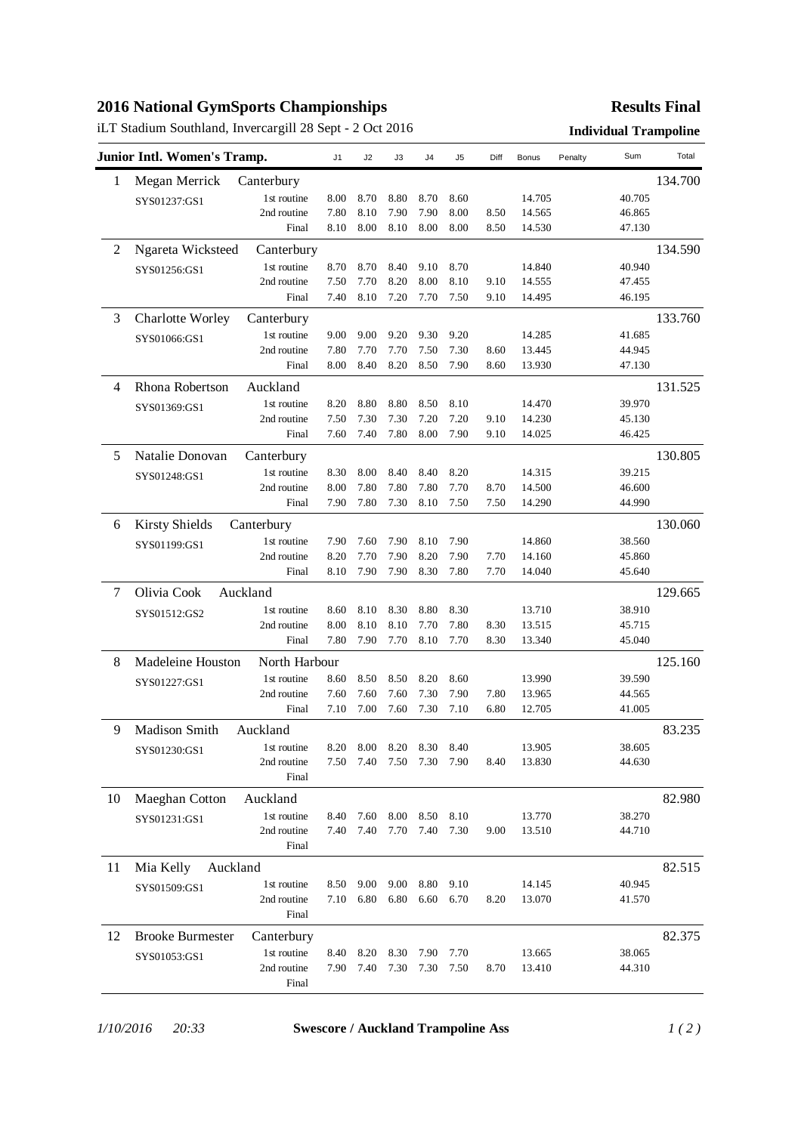## **2016 National GymSports Championships**

# iLT Stadium Southland, Invercargill 28 Sept - 2 Oct 2016 **Individual Trampoline**

## **Results Final**

|                | Junior Intl. Women's Tramp.         |             | J <sub>1</sub> | J2        | J3   | J4   | J5   | Diff | <b>Bonus</b> | Penalty | Sum     | Total   |
|----------------|-------------------------------------|-------------|----------------|-----------|------|------|------|------|--------------|---------|---------|---------|
| 1              | Megan Merrick                       | Canterbury  |                |           |      |      |      |      |              |         |         | 134.700 |
|                | SYS01237:GS1                        | 1st routine | 8.00           | 8.70      | 8.80 | 8.70 | 8.60 |      | 14.705       |         | 40.705  |         |
|                |                                     | 2nd routine | 7.80           | 8.10      | 7.90 | 7.90 | 8.00 | 8.50 | 14.565       |         | 46.865  |         |
|                |                                     | Final       | 8.10           | 8.00      | 8.10 | 8.00 | 8.00 | 8.50 | 14.530       |         | 47.130  |         |
| $\overline{c}$ | Ngareta Wicksteed                   | Canterbury  |                |           |      |      |      |      |              |         |         | 134.590 |
|                | SYS01256:GS1                        | 1st routine | 8.70           | 8.70      | 8.40 | 9.10 | 8.70 |      | 14.840       |         | 40.940  |         |
|                |                                     | 2nd routine | 7.50           | 7.70      | 8.20 | 8.00 | 8.10 | 9.10 | 14.555       |         | 47.455  |         |
|                |                                     | Final       | 7.40           | 8.10      | 7.20 | 7.70 | 7.50 | 9.10 | 14.495       |         | 46.195  |         |
| 3              | <b>Charlotte Worley</b>             | Canterbury  |                |           |      |      |      |      |              |         |         | 133.760 |
|                | SYS01066:GS1                        | 1st routine | 9.00           | 9.00      | 9.20 | 9.30 | 9.20 |      | 14.285       |         | 41.685  |         |
|                |                                     | 2nd routine | 7.80           | 7.70      | 7.70 | 7.50 | 7.30 | 8.60 | 13.445       |         | 44.945  |         |
|                |                                     | Final       | 8.00           | 8.40      | 8.20 | 8.50 | 7.90 | 8.60 | 13.930       |         | 47.130  |         |
| 4              | Rhona Robertson                     | Auckland    |                |           |      |      |      |      |              |         |         | 131.525 |
|                | SYS01369:GS1                        | 1st routine | 8.20           | 8.80      | 8.80 | 8.50 | 8.10 |      | 14.470       |         | 39.970  |         |
|                |                                     | 2nd routine | 7.50           | 7.30      | 7.30 | 7.20 | 7.20 | 9.10 | 14.230       |         | 45.130  |         |
|                |                                     | Final       | 7.60           | 7.40      | 7.80 | 8.00 | 7.90 | 9.10 | 14.025       |         | 46.425  |         |
| 5              | Natalie Donovan                     | Canterbury  |                |           |      |      |      |      |              |         |         | 130.805 |
|                | SYS01248:GS1                        | 1st routine | 8.30           | 8.00      | 8.40 | 8.40 | 8.20 |      | 14.315       |         | 39.215  |         |
|                |                                     | 2nd routine | 8.00           | 7.80      | 7.80 | 7.80 | 7.70 | 8.70 | 14.500       |         | 46.600  |         |
|                |                                     | Final       | 7.90           | 7.80      | 7.30 | 8.10 | 7.50 | 7.50 | 14.290       |         | 44.990  |         |
| 6              | <b>Kirsty Shields</b><br>Canterbury |             |                |           |      |      |      |      |              |         | 130.060 |         |
|                | SYS01199:GS1                        | 1st routine | 7.90           | 7.60      | 7.90 | 8.10 | 7.90 |      | 14.860       |         | 38.560  |         |
|                |                                     | 2nd routine | 8.20           | 7.70      | 7.90 | 8.20 | 7.90 | 7.70 | 14.160       |         | 45.860  |         |
|                |                                     | Final       | 8.10           | 7.90      | 7.90 | 8.30 | 7.80 | 7.70 | 14.040       |         | 45.640  |         |
| 7              | Olivia Cook<br>Auckland             |             |                |           |      |      |      |      |              |         |         | 129.665 |
|                | SYS01512:GS2                        | 1st routine | 8.60           | 8.10      | 8.30 | 8.80 | 8.30 |      | 13.710       |         | 38.910  |         |
|                |                                     | 2nd routine | 8.00           | 8.10      | 8.10 | 7.70 | 7.80 | 8.30 | 13.515       |         | 45.715  |         |
|                |                                     | Final       | 7.80           | 7.90      | 7.70 | 8.10 | 7.70 | 8.30 | 13.340       |         | 45.040  |         |
| 8              | North Harbour<br>Madeleine Houston  |             |                |           |      |      |      |      |              |         |         | 125.160 |
|                | SYS01227:GS1                        | 1st routine | 8.60           | 8.50      | 8.50 | 8.20 | 8.60 |      | 13.990       |         | 39.590  |         |
|                |                                     | 2nd routine | 7.60           | 7.60      | 7.60 | 7.30 | 7.90 | 7.80 | 13.965       |         | 44.565  |         |
|                |                                     | Final       | 7.10           | 7.00      | 7.60 | 7.30 | 7.10 | 6.80 | 12.705       |         | 41.005  |         |
| 9              | Madison Smith                       | Auckland    |                |           |      |      |      |      |              |         |         | 83.235  |
|                | SYS01230:GS1                        | 1st routine | 8.20           | 8.00      | 8.20 | 8.30 | 8.40 |      | 13.905       |         | 38.605  |         |
|                |                                     | 2nd routine | 7.50           | 7.40      | 7.50 | 7.30 | 7.90 | 8.40 | 13.830       |         | 44.630  |         |
|                |                                     | Final       |                |           |      |      |      |      |              |         |         |         |
| 10             | Maeghan Cotton                      | Auckland    |                |           |      |      |      |      |              |         |         | 82.980  |
|                | SYS01231:GS1                        | 1st routine | 8.40           | 7.60      | 8.00 | 8.50 | 8.10 |      | 13.770       |         | 38.270  |         |
|                |                                     | 2nd routine | 7.40           | 7.40      | 7.70 | 7.40 | 7.30 | 9.00 | 13.510       |         | 44.710  |         |
|                |                                     | Final       |                |           |      |      |      |      |              |         |         |         |
| 11             | Mia Kelly<br>Auckland               |             |                |           |      |      |      |      |              |         |         | 82.515  |
|                | SYS01509:GS1                        | 1st routine | 8.50           | 9.00      | 9.00 | 8.80 | 9.10 |      | 14.145       |         | 40.945  |         |
|                |                                     | 2nd routine |                | 7.10 6.80 | 6.80 | 6.60 | 6.70 | 8.20 | 13.070       |         | 41.570  |         |
|                |                                     | Final       |                |           |      |      |      |      |              |         |         |         |
| 12             | <b>Brooke Burmester</b>             | Canterbury  |                |           |      |      |      |      |              |         |         | 82.375  |
|                | SYS01053:GS1                        | 1st routine | 8.40           | 8.20      | 8.30 | 7.90 | 7.70 |      | 13.665       |         | 38.065  |         |
|                |                                     | 2nd routine | 7.90           | 7.40      | 7.30 | 7.30 | 7.50 | 8.70 | 13.410       |         | 44.310  |         |
|                |                                     | Final       |                |           |      |      |      |      |              |         |         |         |